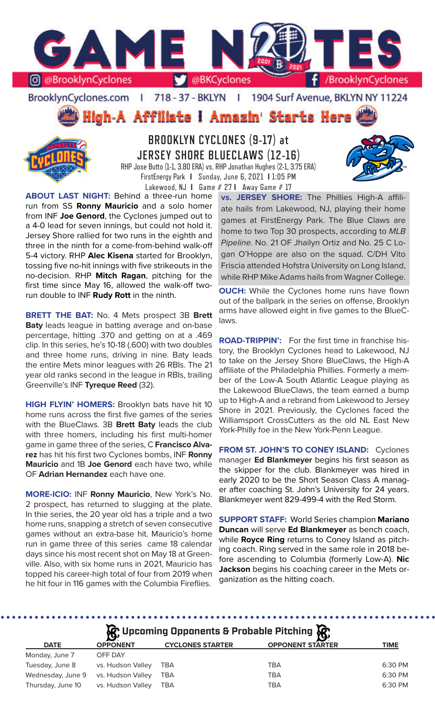

BrooklynCyclones.com | 718 - 37 - BKLYN | 1904 Surf Avenue, BKLYN NY 11224



**BROOKLYN CYCLONES (9-17) at JERSEY SHORE BLUECLAWS (12-16)** RHP Jose Butto (1-1, 3.80 ERA) vs. RHP Jonathan Hughes (2-1, 3.75 ERA) FirstEnergy Park **I** Sunday, June 6, 2021 **I** 1:05 PM

Lakewood, NJ **I** Game # 27 **I** Away Game # 17

**ABOUT LAST NIGHT:** Behind a three-run home run from SS **Ronny Mauricio** and a solo homer from INF **Joe Genord**, the Cyclones jumped out to a 4-0 lead for seven innings, but could not hold it. Jersey Shore rallied for two runs in the eighth and three in the ninth for a come-from-behind walk-off 5-4 victory. RHP **Alec Kisena** started for Brooklyn, tossing five no-hit innings with five strikeouts in the no-decision. RHP **Mitch Ragan**, pitching for the first time since May 16, allowed the walk-off tworun double to INF **Rudy Rott** in the ninth.

**BRETT THE BAT:** No. 4 Mets prospect 3B **Brett Baty** leads league in batting average and on-base percentage, hitting .370 and getting on at a .469 clip. In this series, he's 10-18 (.600) with two doubles and three home runs, driving in nine. Baty leads the entire Mets minor leagues with 26 RBIs. The 21 year old ranks second in the league in RBIs, trailing Greenville's INF **Tyreque Reed** (32).

**HIGH FLYIN' HOMERS:** Brooklyn bats have hit 10 home runs across the first five games of the series with the BlueClaws. 3B **Brett Baty** leads the club with three homers, including his first multi-homer game in game three of the series, C **Francisco Alvarez** has hit his first two Cyclones bombs, INF **Ronny Mauricio** and 1B **Joe Genord** each have two, while OF **Adrian Hernandez** each have one.

**MORE-ICIO:** INF **Ronny Mauricio**, New York's No. 2 prospect, has returned to slugging at the plate. In thie series, the 20 year old has a triple and a two home runs, snapping a stretch of seven consecutive games without an extra-base hit. Mauricio's home run in game three of this series came 18 calendar days since his most recent shot on May 18 at Greenville. Also, with six home runs in 2021, Mauricio has topped his career-high total of four from 2019 when he hit four in 116 games with the Columbia Fireflies.

**vs. JERSEY SHORE:** The Phillies High-A affiliate hails from Lakewood, NJ, playing their home games at FirstEnergy Park. The Blue Claws are home to two Top 30 prospects, according to *MLB Pipeline*. No. 21 OF Jhailyn Ortiz and No. 25 C Logan O'Hoppe are also on the squad. C/DH Vito Friscia attended Hofstra University on Long Island, while RHP Mike Adams hails from Wagner College.

**OUCH:** While the Cyclones home runs have flown out of the ballpark in the series on offense, Brooklyn arms have allowed eight in five games to the BlueClaws.

**ROAD-TRIPPIN':** For the first time in franchise history, the Brooklyn Cyclones head to Lakewood, NJ to take on the Jersey Shore BlueClaws, the High-A affiliate of the Philadelphia Phillies. Formerly a member of the Low-A South Atlantic League playing as the Lakewood BlueClaws, the team earned a bump up to High-A and a rebrand from Lakewood to Jersey Shore in 2021. Previously, the Cyclones faced the Williamsport CrossCutters as the old NL East New York-Philly foe in the New York-Penn League.

**FROM ST. JOHN'S TO CONEY ISLAND:** Cyclones manager **Ed Blankmeyer** begins his first season as the skipper for the club. Blankmeyer was hired in early 2020 to be the Short Season Class A manager after coaching St. John's University for 24 years. Blankmeyer went 829-499-4 with the Red Storm.

**SUPPORT STAFF:** World Series champion **Mariano Duncan** will serve **Ed Blankmeyer** as bench coach, while **Royce Ring** returns to Coney Island as pitching coach. Ring served in the same role in 2018 before ascending to Columbia (formerly Low-A). **Nic Jackson** begins his coaching career in the Mets organization as the hitting coach.

# **R** Upcoming Opponents & Probable Pitching **R**

| <b>DATE</b>       | <b>OPPONENT</b>   | <b>CYCLONES STARTER</b> | $\sim$<br><b>OPPONENT STARTER</b> | <b>TIME</b> |
|-------------------|-------------------|-------------------------|-----------------------------------|-------------|
| Monday, June 7    | OFF DAY           |                         |                                   |             |
| Tuesday, June 8   | vs. Hudson Valley | <b>TBA</b>              | TBA                               | 6:30 PM     |
| Wednesday, June 9 | vs. Hudson Valley | TBA                     | <b>TBA</b>                        | 6:30 PM     |
| Thursday, June 10 | vs. Hudson Valley | TBA                     | TBA                               | 6:30 PM     |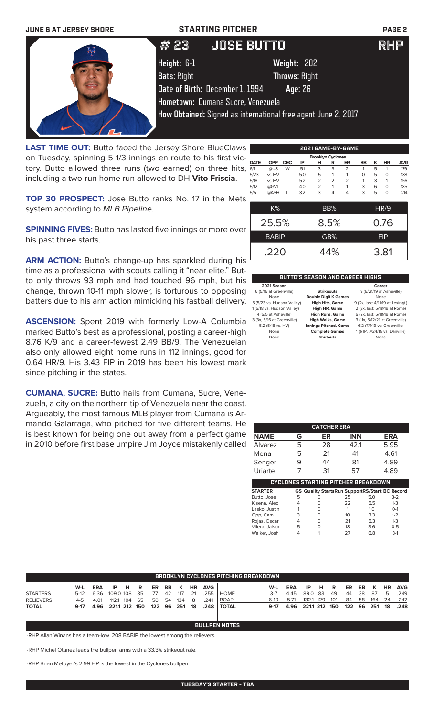

**LAST TIME OUT:** Butto faced the Jersey Shore BlueClaws on Tuesday, spinning 5 1/3 innings en route to his first victory. Butto allowed three runs (two earned) on three hits, including a two-run home run allowed to DH **Vito Friscia**.

**TOP 30 PROSPECT:** Jose Butto ranks No. 17 in the Mets system according to *MLB Pipeline*.

**SPINNING FIVES:** Butto has lasted five innings or more over his past three starts.

ARM ACTION: Butto's change-up has sparkled during his time as a professional with scouts calling it "near elite." Butto only throws 93 mph and had touched 96 mph, but his change, thrown 10-11 mph slower, is torturous to opposing batters due to his arm action mimicking his fastball delivery.

**ASCENSION:** Spent 2019 with formerly Low-A Columbia marked Butto's best as a professional, posting a career-high 8.76 K/9 and a career-fewest 2.49 BB/9. The Venezuelan also only allowed eight home runs in 112 innings, good for 0.64 HR/9. His 3.43 FIP in 2019 has been his lowest mark since pitching in the states.

**CUMANA, SUCRE:** Butto hails from Cumana, Sucre, Venezuela, a city on the northern tip of Venezuela near the coast. Argueably, the most famous MLB player from Cumana is Armando Galarraga, who pitched for five different teams. He is best known for being one out away from a perfect game in 2010 before first base umpire Jim Joyce mistakenly called

|             |              |            |     |                          |                | 2021 GAME-BY-GAME |           |   |             |            |
|-------------|--------------|------------|-----|--------------------------|----------------|-------------------|-----------|---|-------------|------------|
|             |              |            |     | <b>Brooklyn Cyclones</b> |                |                   |           |   |             |            |
| <b>DATE</b> | <b>OPP</b>   | <b>DEC</b> | IP  | н                        | R              | ER                | <b>BB</b> | κ | <b>HR</b>   | <b>AVG</b> |
| 6/1         | $@$ JS       | W          | 5.1 | 3                        | 3              | $\overline{2}$    | 1         | 5 | 1           | .179       |
| 5/23        | vs. HV       |            | 5.0 | 5                        | 1              | 1                 | 0         | 5 | $\Omega$    | .188       |
| 5/18        | vs. HV       |            | 5.2 | $\overline{2}$           | $\overline{2}$ | $\overline{2}$    | 1         | 3 | 1           | .156       |
| 5/12        | @GVL         |            | 4.0 | $\overline{2}$           | 1              | 1                 | 3         | 6 | $\Omega$    | .185       |
| 5/5         | @ASH         | L          | 3.2 | 3                        | 4              | 4                 | 3         | 5 | $\Omega$    | .214       |
|             |              |            |     |                          |                |                   |           |   |             |            |
|             | K%           |            |     |                          | BB%            |                   |           |   | <b>HR/9</b> |            |
|             | 25.5%        |            |     |                          | 8.5%           |                   |           |   | 0.76        |            |
|             |              |            |     |                          |                |                   |           |   |             |            |
|             | <b>BABIP</b> |            |     |                          | GB%            |                   |           |   | <b>FIP</b>  |            |
|             | .220         |            |     |                          | 44%            |                   |           |   | 3.81        |            |
|             |              |            |     |                          |                |                   |           |   |             |            |

| <b>BUTTO'S SEASON AND CAREER HIGHS</b> |                              |                                   |  |  |  |
|----------------------------------------|------------------------------|-----------------------------------|--|--|--|
| 2021 Season                            |                              | Career                            |  |  |  |
| 6 (5/16 at Greenville)                 | <b>Strikeouts</b>            | 9 (6/21/19 at Asheville)          |  |  |  |
| None                                   | <b>Double Digit K Games</b>  | None                              |  |  |  |
| 5 (5/23 vs. Hudson Valley)             | <b>High Hits, Game</b>       | 9 (2x, last: 4/11/19 at Lexingt.) |  |  |  |
| 1 (5/18 vs. Hudson Valley)             | High HR, Game                | 2 (3x, last: 5/18/19 at Rome)     |  |  |  |
| 4 (5/5 at Asheville)                   | <b>High Runs, Game</b>       | 6 (2x, last: 5/18/19 at Rome)     |  |  |  |
| 3 (3x, 5/16 at Greenville)             | <b>High Walks, Game</b>      | 3 (11x, 5/12/21 at Greenville)    |  |  |  |
| 5.2 (5/18 vs. HV)                      | <b>Innings Pitched, Game</b> | 6.2 (7/1/19 vs. Greenville)       |  |  |  |
| None                                   | <b>Complete Games</b>        | 1 (6 IP, 7/24/18 vs. Danville)    |  |  |  |
| None                                   | Shutouts                     | None                              |  |  |  |

|                                            |   | <b>CATCHER ERA</b> |            |                                                       |  |
|--------------------------------------------|---|--------------------|------------|-------------------------------------------------------|--|
| <b>NAME</b>                                | G | ER                 | <b>INN</b> | <b>ERA</b>                                            |  |
| Alvarez                                    | 5 | 28                 | 42.1       | 5.95                                                  |  |
| Mena                                       | 5 | 21                 | 41         | 4.61                                                  |  |
| Senger                                     |   | 44                 | 81         | 4.89                                                  |  |
| Uriarte                                    |   | 31                 | 57         | 4.89                                                  |  |
| <b>CYCLONES STARTING PITCHER BREAKDOWN</b> |   |                    |            |                                                       |  |
| <b>STARTER</b>                             |   |                    |            | <b>GS Quality StartsRun SupportRS/Start BC Record</b> |  |

| <b>STARTER</b> |   | <b>GS Quality StartsRun SupportRS/Start BC Record</b> |    |                |         |
|----------------|---|-------------------------------------------------------|----|----------------|---------|
| Butto, Jose    | 5 |                                                       | 25 | 5.0            | $3-2$   |
| Kisena, Alec   | 4 |                                                       | 22 | 5.5            | $1 - 3$ |
| Lasko, Justin  |   |                                                       |    | 1 <sub>0</sub> | $O-1$   |
| Opp, Cam       | 3 |                                                       | 10 | 3.3            | $1 - 2$ |
| Rojas, Oscar   | 4 |                                                       | 21 | 5.3            | $1-3$   |
| Vilera, Jaison | 5 |                                                       | 18 | 3.6            | $0 - 5$ |
| Walker, Josh   |   |                                                       | つフ | 68             | $3-1$   |

| <b>BROOKLYN CYCLONES PITCHING BREAKDOWN</b> |        |            |               |       |    |      |         |               |           |            |               |        |      |               |     |      |     |    |          |           |            |
|---------------------------------------------|--------|------------|---------------|-------|----|------|---------|---------------|-----------|------------|---------------|--------|------|---------------|-----|------|-----|----|----------|-----------|------------|
|                                             | W-L    | <b>ERA</b> |               | IP HR |    |      | ER BB K |               | <b>HR</b> | <b>AVG</b> |               | W-L    | ERA  | IP            | HR  |      | ER  | BB | - K      | <b>HR</b> | <b>AVG</b> |
| <b>STARTERS</b>                             |        | 5-12 6.36  | 109.0 108 85  |       |    | - 77 |         | 42 117        | 21        | .255       | I HOME.       | $3-7$  | 445  | 89.0 83       |     | - 49 |     |    | 44 38 87 | 5         | .249       |
| <b>RELIEVERS</b>                            | 4-5    | 4.01       | 112.1         | 104   | 65 | 50   | 54      | 134           | - 8       | .241       | <b>I ROAD</b> | $6-10$ | 5.71 | 132.1         | 129 | 101  | 84  | 58 | 164      | 24        | .247       |
| <b>TOTAL</b>                                | $9-17$ | 4.96       | 221.1 212 150 |       |    |      |         | 122 96 251 18 |           |            | .248 I TOTAL  | $9-17$ | 4.96 | 221.1 212 150 |     |      | 122 | 96 | 251      | 18        | .248       |
|                                             |        |            |               |       |    |      |         |               |           |            |               |        |      |               |     |      |     |    |          |           |            |

**BULLPEN NOTES**

-RHP Allan Winans has a team-low .208 BABIP, the lowest among the relievers.

-RHP Michel Otanez leads the bullpen arms with a 33.3% strikeout rate.

-RHP Brian Metoyer's 2.99 FIP is the lowest in the Cyclones bullpen.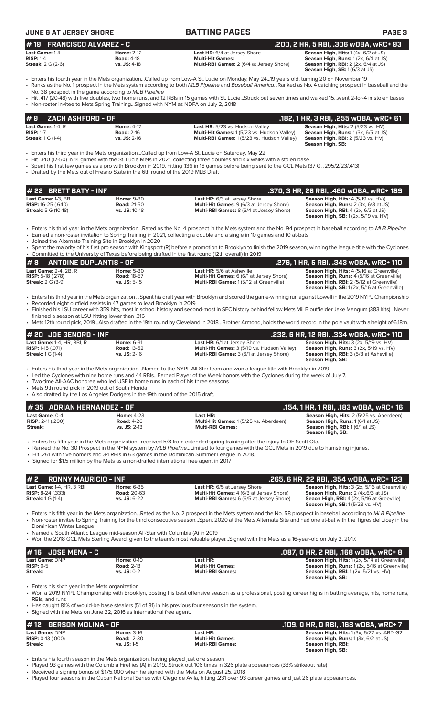| <b>JUNE 6 AT JERSEY SHORE</b>                                        |                                                                                     | <b>BATTING PAGES</b>                                                                                                                                                                                                                                                                                                                                                            | PAGE <sub>3</sub>                                                                                                                                     |
|----------------------------------------------------------------------|-------------------------------------------------------------------------------------|---------------------------------------------------------------------------------------------------------------------------------------------------------------------------------------------------------------------------------------------------------------------------------------------------------------------------------------------------------------------------------|-------------------------------------------------------------------------------------------------------------------------------------------------------|
| <b>FRANCISCO ALVAREZ - C</b><br>#19                                  |                                                                                     |                                                                                                                                                                                                                                                                                                                                                                                 | .200, 2 HR, 5 RBI, .306 wOBA, wRC+ 93                                                                                                                 |
| Last Game: 1-4<br><b>RISP: 1-4</b><br><b>Streak:</b> 2 G (2-6)       | <b>Home: 2-12</b><br><b>Road: 4-18</b><br>vs. JS: 4-18                              | Last HR: 6/4 at Jersey Shore<br><b>Multi-Hit Games:</b><br>Multi-RBI Games: 2 (6/4 at Jersey Shore)                                                                                                                                                                                                                                                                             | Season High, Hits: 1 (4x, 6/2 at JS)<br>Season High, Runs: 1 (2x, 6/4 at JS)<br>Season High, RBI: 2 (2x, 6/4 at JS)<br>Season High, SB: 1 (6/3 at JS) |
|                                                                      | No. 38 prospect in the game according to MLB Pipeline                               | • Enters his fourth year in the Mets organizationCalled up from Low-A St. Lucie on Monday, May 2419 years old, turning 20 on November 19<br>· Ranks as the No. 1 prospect in the Mets system according to both MLB Pipeline and Baseball AmericaRanked as No. 4 catching prospect in baseball and the                                                                           |                                                                                                                                                       |
|                                                                      | • Non-roster invitee to Mets Spring TrainingSigned with NYM as NDFA on July 2, 2018 | · Hit .417 (20-48) with five doubles, two home runs, and 12 RBIs in 15 games with St. LucieStruck out seven times and walked 15went 2-for-4 in stolen bases                                                                                                                                                                                                                     |                                                                                                                                                       |
| ZACH ASHFORD - OF<br>9                                               |                                                                                     |                                                                                                                                                                                                                                                                                                                                                                                 | .182, 1 HR, 3 RBI, .255 wOBA, wRC+ 61                                                                                                                 |
| Last Game: $1-4$ . R<br><b>RISP: 1-7</b><br><b>Streak: 1 G (1-4)</b> | <b>Home: 4-17</b><br><b>Road: 2-16</b><br>vs. JS: 2-16                              | Last HR: 5/23 vs. Hudson Valley<br>Multi-Hit Games: 1 (5/23 vs. Hudson Valley)<br>Multi-RBI Games: 1(5/23 vs. Hudson Valley)                                                                                                                                                                                                                                                    | Season High, Hits: 2 (5/23 vs. HV)<br>Season High, Runs: 1 (3x, 6/5 at JS)<br><b>Season High, RBI: 2 (5/23 vs. HV)</b><br>Season High, SB:            |
|                                                                      | • Drafted by the Mets out of Fresno State in the 6th round of the 2019 MLB Draft    | • Enters his third year in the Mets organizationCalled up from Low-A St. Lucie on Saturday, May 22<br>• Hit .340 (17-50) in 14 games with the St. Lucie Mets in 2021, collecting three doubles and six walks with a stolen base<br>• Spent his first few games as a pro with Brooklyn in 2019, hitting 136 in 16 games before being sent to the GCL Mets (37 G, .295/2/23/.413) |                                                                                                                                                       |
| # 22 BRETT BATY - INF                                                |                                                                                     |                                                                                                                                                                                                                                                                                                                                                                                 | .370, 3 HR, 26 RBI, .460 WOBA, WRC+ 189                                                                                                               |
| Last Game: 1-3, BB                                                   | <b>Home: 9-30</b>                                                                   | Last HR: 6/3 at Jersey Shore                                                                                                                                                                                                                                                                                                                                                    | Season High, Hits: 4 (5/19 vs. HV))                                                                                                                   |
| <b>RISP: 16-25 (.640)</b><br><b>Streak:</b> 5 G (10-18)              | <b>Road: 21-50</b><br>vs. JS: 10-18                                                 | Multi-Hit Games: 9 (6/3 at Jersey Shore)<br>Multi-RBI Games: 8 (6/4 at Jersey Shore)                                                                                                                                                                                                                                                                                            | Season High, Runs: 2 (3x, 6/3 at JS)<br><b>Season High, RBI:</b> $4$ ( $2x$ , $6/3$ at JS)<br><b>Season High, SB:</b> 1 (2x, 5/19 vs. HV)             |
|                                                                      |                                                                                     | • Enters his third year in the Mets organizationRated as the No. 4 prospect in the Mets system and the No. 94 prospect in baseball according to MLB Pipeline<br>• Earned a non-roster invitation to Spring Training in 2021, collecting a double and a single in 10 games and 10 at-bats                                                                                        |                                                                                                                                                       |
|                                                                      | • Joined the Alternate Training Site in Brooklyn in 2020                            | · Spent the majority of his first pro season with Kingsport (R) before a promotion to Brooklyn to finish the 2019 season, winning the league title with the Cyclones                                                                                                                                                                                                            |                                                                                                                                                       |
| #8                                                                   | <b>ANTOINE DUPLANTIS - OF</b>                                                       | • Committed to the University of Texas before being drafted in the first round (12th overall) in 2019                                                                                                                                                                                                                                                                           |                                                                                                                                                       |
| Last Game: 2-4, 2B, R                                                | <b>Home: 5-30</b>                                                                   | Last HR: 5/6 at Asheville                                                                                                                                                                                                                                                                                                                                                       | .276, 1 HR, 5 RBI, .343 wOBA, wRC+ 110<br>Season High, Hits: 4 (5/16 at Greenville)                                                                   |
| <b>RISP: 5-18 (.278)</b><br><b>Streak: 2 G (3-9)</b>                 | <b>Road: 18-57</b><br>vs. JS: 5-15                                                  | Multi-Hit Games: 6 (6/1 at Jersey Shore)<br>Multi-RBI Games: 1(5/12 at Greenville)                                                                                                                                                                                                                                                                                              | Season High, Runs: 4 (5/16 at Greenville)<br>Season High, RBI: 2 (5/12 at Greenville)<br>Season High, SB: 1 (2x, 5/16 at Greenville)                  |

• Enters his third year in the Mets organization ...Spent his draft year with Brooklyn and scored the game-winning run against Lowell in the 2019 NYPL Championship • Recorded eight outfield assists in 47 games to lead Brooklyn in 2019

• Finished his LSU career with 359 hits, most in school history and second-most in SEC history behind fellow Mets MiLB outfielder Jake Mangum (383 hits)...Never

finished a season at LSU hitting lower than .316 • Mets 12th round pick, 2019...Also drafted in the 19th round by Cleveland in 2018...Brother Armond, holds the world record in the pole vault with a height of 6.18m.

| $#$ 20 JDE GENORD - INF             |                    |                                                    | .232, 6 HR, 12 RBI, .334 wOBA, wRC+ 110                  |
|-------------------------------------|--------------------|----------------------------------------------------|----------------------------------------------------------|
| Last Game: 1-4, HR, RBI, R          | <b>Home: 6-31</b>  | <b>Last HR:</b> 6/1 at Jersey Shore                | <b>Season High, Hits:</b> $3$ ( $2x$ , $5/19$ vs. $HV$ ) |
| <b>RISP:</b> $1-15$ $(.071)$        | <b>Road: 13-52</b> | <b>Multi-Hit Games:</b> 3 (5/19 vs. Hudson Valley) | <b>Season High, Runs:</b> $3$ ( $2x$ , $5/19$ vs. $HV$ ) |
| <b>Streak:</b> $1 \text{ } G$ (1-4) | $vs.$ JS: 2-16     | <b>Multi-RBI Games:</b> 3 (6/1 at Jersey Shore)    | <b>Season High, RBI:</b> 3 (5/8 at Asheville)            |
|                                     |                    |                                                    | Season High, SB:                                         |

• Enters his third year in the Mets organization...Named to the NYPL All-Star team and won a league title with Brooklyn in 2019

• Led the Cyclones with nine home runs and 44 RBIs...Earned Player of the Week honors with the Cyclones during the week of July 7.<br>• Two-time All-AAC honoree who led USE in home runs in each of his three seasons.

- Two-time All-AAC honoree who led USF in home runs in each of his three seasons
- Mets 9th round pick in 2019 out of South Florida

• Also drafted by the Los Angeles Dodgers in the 19th round of the 2015 draft.

| # 35   ADRIAN HERNANDEZ - OF |                   |                                                                                                                                          | .154. 1 HR. 1 RBI. .183 wOBA. wRC+ 16           |
|------------------------------|-------------------|------------------------------------------------------------------------------------------------------------------------------------------|-------------------------------------------------|
| <b>Last Game: 0-4</b>        | <b>Home: 4-23</b> | Last HR:                                                                                                                                 | <b>Season High, Hits: 2 (5/25 vs. Aberdeen)</b> |
| <b>RISP:</b> 2-11 (.200)     | <b>Road: 4-26</b> | Multi-Hit Games: 1(5/25 vs. Aberdeen)                                                                                                    | <b>Season High, Runs: 1 (6/1 at JS)</b>         |
| Streak:                      | $vs.$ JS: $2-13$  | <b>Multi-RBI Games:</b>                                                                                                                  | <b>Season High, RBI:</b> 1 (6/1 at JS)          |
|                              |                   |                                                                                                                                          | Season High, SB:                                |
|                              |                   | . Enters his fifth year in the Mets organizationreceived 5/8 from extended spring training after the injury to OF Scott Ota.             |                                                 |
|                              |                   | . Danked the Ne 30 Prespect in the NVM system by MLR Pineline, Limited to four games with the CCL Mots in 2019 due to bamstring injuries |                                                 |

- the No. 30 Prospect in the NYM system by *MLB Pipeline...*Limited to four games with the GCL Mets in 2019 due to hamstring injuries.
- Hit .261 with five homers and 34 RBIs in 63 games in the Dominican Summer League in 2018.
- Signed for \$1.5 million by the Mets as a non-drafted international free agent in 2017

| $# 2$ RONNY MAURICIO - INF                                                                 |                                                             |                                                                                                                                                              | .265. 6 HR. 22 RBI. .354 WOBA. WRC+ 123                                                                                                                                                                          |
|--------------------------------------------------------------------------------------------|-------------------------------------------------------------|--------------------------------------------------------------------------------------------------------------------------------------------------------------|------------------------------------------------------------------------------------------------------------------------------------------------------------------------------------------------------------------|
| <b>Last Game: 1-4, HR, 3 RBI</b><br><b>RISP:</b> $8-24$ (.333)<br><b>Streak: 1 G (1-4)</b> | <b>Home: 6-35</b><br><b>Road: 20-63</b><br>$vs.$ JS: $6-22$ | <b>Last HR:</b> 6/5 at Jersey Shore<br>Multi-Hit Games: 4 (6/3 at Jersey Shore)<br><b>Multi-RBI Games:</b> 6 (6/5 at Jersey Shore)                           | <b>Season High, Hits: 3 (2x, 5/16 at Greenville)</b><br><b>Season High, Runs:</b> $2 \times (4 \times 6/3)$ at JS<br><b>Seaon High, RBI:</b> 4 (2x, 5/16 at Greeville)<br><b>Season High, SB:</b> 1(5/23 vs. HV) |
|                                                                                            |                                                             | • Enters his fifth year in the Mets organizationRated as the No. 2 prospect in the Mets system and the No. 58 prospect in baseball according to MLB Pipeline |                                                                                                                                                                                                                  |

• Non-roster invitee to Spring Training for the third consecutive season...Spent 2020 at the Mets Alternate Site and had one at-bat with the Tigres del Licey in the Dominican Winter League

• Named a South Atlantic League mid-season All-Star with Columbia (A) in 2019

• Won the 2018 GCL Mets Sterling Award, given to the team's most valuable player...Signed with the Mets as a 16-year-old on July 2, 2017.

| $#16$ JOSE MENA - C   |                   |                         | .087. 0 HR. 2 RBI. .168 WOBA. WRC+ 8                 |
|-----------------------|-------------------|-------------------------|------------------------------------------------------|
| <b>Last Game: DNP</b> | <b>Home: 0-10</b> | Last HR:                | <b>Season High, Hits: 1 (2x, 5/14 at Greenville)</b> |
| $RISP: 0-5$           | <b>Road: 2-13</b> | <b>Multi-Hit Games:</b> | Season High, Runs: 1 (2x, 5/16 at Greenville)        |
| Streak:               | $vs.$ JS: 0-2     | <b>Multi-RBI Games:</b> | <b>Season High, RBI:</b> 1 (2x, 5/21 vs. HV)         |
|                       |                   |                         | Season High, SB:                                     |

• Enters his sixth year in the Mets organization

• Won a 2019 NYPL Championship with Brooklyn, posting his best offensive season as a professional, posting career highs in batting average, hits, home runs, RBIs, and runs

• Has caught 81% of would-be base stealers (51 of 81) in his previous four seasons in the system.

• Signed with the Mets on June 22, 2016 as international free agent.

| $#$ 12 GERSON MOLINA - OF    |                   |                         | . 109, 0 HR, 0 RBI, .168 w0BA, wRC+ 7.            |
|------------------------------|-------------------|-------------------------|---------------------------------------------------|
| <b>Last Game: DNP</b>        | <b>Home: 3-16</b> | Last HR:                | <b>Season High, Hits: 1 (3x, 5/27 vs. ABD G2)</b> |
| <b>RISP:</b> $0-13$ $(.000)$ | <b>Road: 2-30</b> | <b>Multi-Hit Games:</b> | <b>Season High, Runs:</b> $1(3x, 6/2$ at JS)      |
| Streak:                      | $vs.$ JS: 1-5     | <b>Multi-RBI Games:</b> | Season High, RBI:                                 |
|                              |                   |                         | Season High, SB:                                  |

• Enters his fourth season in the Mets organization, having played just one season<br>• Played 93 games with the Columbia Fireflies (A) in 2019...Struck out 106 times in

• Played 93 games with the Columbia Fireflies (A) in 2019...Struck out 106 times in 326 plate appearances (33% strikeout rate)

• Received a signing bonus of \$175,000 when he signed with the Mets on August 25, 2018

• Played four seasons in the Cuban National Series with Ciego de Avila, hitting .231 over 93 career games and just 26 plate appearances.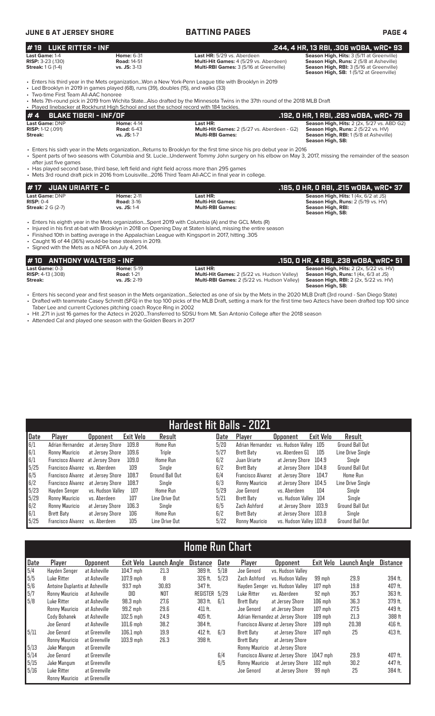| <b>JUNE 6 AT JERSEY SHORE</b>                                            |                                                             | <b>BATTING PAGES</b>                                                                                                   | <b>PAGE 4</b>                                                                                                                                                                                   |  |  |
|--------------------------------------------------------------------------|-------------------------------------------------------------|------------------------------------------------------------------------------------------------------------------------|-------------------------------------------------------------------------------------------------------------------------------------------------------------------------------------------------|--|--|
| $\sharp$ 19 LUKE RITTER - INF                                            |                                                             |                                                                                                                        | . .244, 4 HR, 13 RBI, .306 wOBA, wRC+ 93                                                                                                                                                        |  |  |
| Last Game: 1-4<br><b>RISP:</b> $3-23$ (.130)<br><b>Streak:</b> 1 G (1-4) | <b>Home: 6-31</b><br><b>Road: 14-51</b><br>$vs.$ JS: $3-13$ | Last HR: 5/29 vs. Aberdeen<br><b>Multi-Hit Games: 4 (5/29 vs. Aberdeen)</b><br>Multi-RBI Games: 3 (5/16 at Greenville) | <b>Season High, Hits: 3 (5/11 at Greenville)</b><br><b>Season High, Runs: 2 (5/8 at Asheville)</b><br><b>Season High, RBI: 3 (5/16 at Greenville)</b><br>Season High, SB: 1(5/12 at Greenville) |  |  |

• Enters his third year in the Mets organization...Won a New York-Penn League title with Brooklyn in 2019<br>• Led Brooklyn in 2019 in games played (68), runs (39), doubles (15), and walks (33)

• Led Brooklyn in 2019 in games played (68), runs (39), doubles (15), and walks (33)

• Two-time First Team All-AAC honoree

• Mets 7th-round pick in 2019 from Wichita State...Also drafted by the Minnesota Twins in the 37th round of the 2018 MLB Draft

| . Played linebacker at Rockhurst High School and set the school record with 184 tackles. |                                        |                                                                |                                                                                                         |
|------------------------------------------------------------------------------------------|----------------------------------------|----------------------------------------------------------------|---------------------------------------------------------------------------------------------------------|
| $# 4$ BLAKE TIBERI - INF/OF                                                              |                                        |                                                                | . .192, O HR, 1 RBI, .283 wOBA, wRC+ 79                                                                 |
| Last Game: DNP<br><b>RISP:</b> 1-12 $(.091)$                                             | <b>Home: 4-14</b><br><b>Road: 6-43</b> | Last HR:<br><b>Multi-Hit Games:</b> 2 (5/27 vs. Aberdeen - G2) | <b>Season High, Hits: 2 (2x, 5/27 vs. ABD G2)</b><br><b>Season High, Runs:</b> $2(5/22 \text{ vs. HV})$ |
| Streak:                                                                                  | $vs.$ JS: 1-7                          | <b>Multi-RBI Games:</b>                                        | <b>Season High, RBI: 1(5/8 at Asheville)</b><br>Season High, SB:                                        |

• Enters his sixth year in the Mets organization...Returns to Brooklyn for the first time since his pro debut year in 2016 • Spent parts of two seasons with Columbia and St. Lucie...Underwent Tommy John surgery on his elbow on May 3, 2017, missing the remainder of the season after just five games

• Has played second base, third base, left field and right field across more than 295 games

• Mets 3rd round draft pick in 2016 from Louisville...2016 Third Team All-ACC in final year in college.

| $\sharp$ 17 $\;$ JUAN URIARTE - C $\;$                                                                                                                                                 | .185. O HR. O RBI. .215 wOBA. wRC+ 37                                                                                       |
|----------------------------------------------------------------------------------------------------------------------------------------------------------------------------------------|-----------------------------------------------------------------------------------------------------------------------------|
| Last Game: DNP<br><b>Home: 2-11</b><br>Last HR:<br><b>Multi-Hit Games:</b><br>$RISP: 0-4$<br><b>Road: 3-16</b><br>$vs.$ JS: 1-4<br><b>Streak:</b> 2 G (2-7)<br><b>Multi-RBI Games:</b> | <b>Season High, Hits:</b> $1(4x, 6/2$ at JS)<br>Season High, Runs: 2 (5/19 vs. HV)<br>Season High, RBI:<br>Season High, SB: |

• Enters his eighth year in the Mets organization...Spent 2019 with Columbia (A) and the GCL Mets (R)

- Injured in his first at-bat with Brooklyn in 2018 on Opening Day at Staten Island, missing the entire season
- Finished 10th in batting average in the Appalachian League with Kingsport in 2017, hitting .305

• Caught 16 of 44 (36%) would-be base stealers in 2019. • Signed with the Mets as a NDFA on July 4, 2014.

| #10 ANTHONY WALTERS - INF                         |                                        |                                                                | .150, 0 HR, 4 RBI, .238 wOBA, wRC+ 51                                                         |
|---------------------------------------------------|----------------------------------------|----------------------------------------------------------------|-----------------------------------------------------------------------------------------------|
| <b>Last Game:</b> 0-3<br><b>RISP:</b> 4-13 (.308) | <b>Home: 5-19</b><br><b>Road: 1-21</b> | Last HR:<br><b>Multi-Hit Games:</b> 2 (5/22 vs. Hudson Valley) | <b>Season High, Hits: 2 (2x, 5/22 vs. HV)</b><br><b>Season High, Runs:</b> $1(4x, 6/3$ at JS) |
| Streak:                                           | $vs.$ JS: $2-19$                       | <b>Multi-RBI Games:</b> 2 (5/22 vs. Hudson Valley)             | <b>Season High, RBI:</b> $2$ (2x, $5/22$ vs. HV)<br>Season High, SB:                          |

• Enters his second year and first season in the Mets organization...Selected as one of six by the Mets in the 2020 MLB Draft (3rd round - San Diego State) • Drafted with teammate Casey Schmitt (SFG) in the top 100 picks of the MLB Draft, setting a mark for the first time two Aztecs have been drafted top 100 since Taber Lee and current Cyclones pitching coach Royce Ring in 2002

- Hit .271 in just 16 games for the Aztecs in 2020...Transferred to SDSU from Mt. San Antonio College after the 2018 season
- Attended Cal and played one season with the Golden Bears in 2017

| Hardest Hit Balls - 2021 |                                   |                   |           |                 |      |                          |                         |           |                        |
|--------------------------|-----------------------------------|-------------------|-----------|-----------------|------|--------------------------|-------------------------|-----------|------------------------|
| Date                     | Player                            | <b>Opponent</b>   | Exit Velo | Result          | Date | Player                   | <b>Opponent</b>         | Exit Velo | Result                 |
| 6/1                      | Adrian Hernandez                  | at Jersev Shore   | 109.8     | Home Run        | 5/20 | Adrian Hernandez         | vs. Hudson Vallev       | 105       | <b>Ground Ball Out</b> |
| 6/1                      | Ronny Mauricio                    | at Jersey Shore   | 109.6     | <b>Triple</b>   | 5/27 | Brett Baty               | vs. Aberdeen G1         | 105       | Line Drive Single      |
| 6/1                      | Francisco Alvarez at Jersey Shore |                   | 109.0     | <b>Home Run</b> | 6/2  | Juan Uriarte             | at Jersey Shore         | 104.9     | Single                 |
| 5/25                     | Francisco Alvarez                 | vs. Aberdeen      | 109       | Single          | 6/2  | Brett Baty               | at Jersev Shore         | 104.8     | Ground Ball Out        |
| 6/5                      | Francisco Alvarez at Jersey Shore |                   | 108.7     | Ground Ball Out | 6/4  | <b>Francisco Alvarez</b> | at Jersev Shore         | 104.7     | Home Run               |
| 6/2                      | Francisco Alvarez                 | at Jersev Shore   | 108.7     | Sinale          | 6/3  | Ronny Mauricio           | at Jersev Shore         | 104.5     | Line Drive Single      |
| 5/23                     | Havden Senger                     | vs. Hudson Vallev | 107       | Home Run        | 5/29 | Joe Genord               | vs. Aberdeen            | 104       | Single                 |
| 5/29                     | Ronny Mauricio                    | vs. Aberdeen      | 107       | Line Drive Out  | 5/21 | Brett Baty               | vs. Hudson Valley 104   |           | Single                 |
| 6/2                      | Ronny Mauricio                    | at Jersey Shore   | 106.3     | Single          | 6/5  | Zach Ashford             | at Jersev Shore         | 103.9     | Ground Ball Out        |
| 6/1                      | Brett Baty                        | at Jersey Shore   | 106       | <b>Home Run</b> | 6/2  | Brett Baty               | at Jersey Shore 103.8   |           | Single                 |
| 5/25                     | Francisco Alvarez                 | vs. Aberdeen      | 105       | Line Drive Out  | 5/22 | Ronny Mauricio           | vs. Hudson Valley 103.8 |           | <b>Ground Ball Out</b> |

# **Home Run Chart**

| Date | Player                         | <b>Opponent</b> | Exit Velo   | Launch Anole | <b>Distance</b> | Date | Player                | <b>Opponent</b>                   | Exit Velo | Launch Angle | Distance |
|------|--------------------------------|-----------------|-------------|--------------|-----------------|------|-----------------------|-----------------------------------|-----------|--------------|----------|
| 5/4  | Hayden Senger                  | at Asheville    | 104.7 mph   | 21.3         | 389 ft.         | 5/18 | Joe Genord            | vs. Hudson Valley                 |           |              |          |
| 5/5  | Luke Ritter                    | at Asheville    | $107.9$ mph | 8            | 326 ft.         | 5/23 | Zach Ashford          | vs. Hudson Vallev                 | 99 mph    | 29.9         | 394 ft.  |
| 5/6  | Antoine Duplantis at Asheville |                 | 93.7 mph    | 30.83        | 347 ft.         |      | Havden Senger         | vs. Hudson Vallev                 | $107$ mph | 19.8         | 407 ft.  |
| 5/7  | Ronny Mauricio                 | at Asheville    | DID         | NOT          | REGISTER        | 5/29 | Luke Ritter           | vs. Aberdeen                      | 92 mph    | 35.7         | 363 ft.  |
| 5/8  | Luke Ritter                    | at Asheville    | $98.3$ mph  | 27.6         | 383 ft.         | 6/1  | Brett Baty            | at Jersev Shore                   | $106$ mph | 36.3         | 379 ft.  |
|      | Ronny Mauricio                 | at Asheville    | 99.2 mph    | 29.6         | $411$ ft.       |      | Joe Genord            | at Jersev Shore                   | $107$ mph | 27.5         | 449 ft.  |
|      | Cody Bohanek                   | at Asheville    | $102.5$ mph | 24.9         | 405 ft.         |      |                       | Adrian Hernandez at Jersey Shore  | $109$ mph | 21.3         | 388 ft   |
|      | Joe Genord                     | at Asheville    | $101.6$ mph | 38.2         | 384 ft.         |      |                       | Francisco Alvarez at Jersey Shore | $109$ mph | 20.38        | 416 ft.  |
| 5/11 | Joe Genord                     | at Greenville   | 106.1 mph   | 19.9         | $412$ ft.       | 6/3  | Brett Baty            | at Jersev Shore                   | $107$ mph | 25           | 413 ft.  |
|      | Ronny Mauricio                 | at Greenville   | $103.9$ mph | 26.3         | 398 ft.         |      | Brett Baty            | at Jersey Shore                   |           |              |          |
| 5/13 | Jake Mangum                    | at Greenville   |             |              |                 |      | <b>Ronny Mauricio</b> | at Jersey Shore                   |           |              |          |
| 5/14 | Joe Genord                     | at Greenville   |             |              |                 | 6/4  |                       | Francisco Alvarez at Jersey Shore | 104.7 mph | 29.9         | 407 ft.  |
| 5/15 | Jake Mangum                    | at Greenville   |             |              |                 | 6/5  | Ronny Mauricio        | at Jersey Shore                   | $102$ mph | 30.2         | 447 ft.  |
| 5/16 | Luke Ritter                    | at Greenville   |             |              |                 |      | Joe Genord            | at Jersev Shore                   | 99 mph    | 25           | 384 ft.  |
|      | Ronny Mauricio                 | at Greenville   |             |              |                 |      |                       |                                   |           |              |          |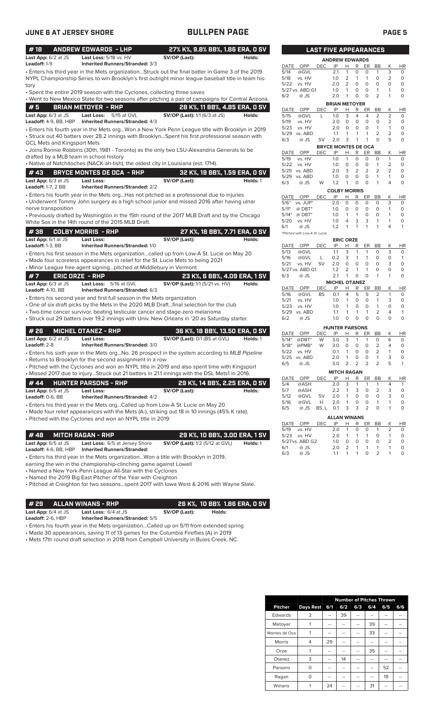| #18<br>Last App: 6/2 at JS<br>Leadoff: 1-9      | <b>ANDREW EDWARDS - LHP</b><br>Last Loss: 5/18 vs. HV<br><b>Inherited Runners/Stranded: 3/3</b>                                                                                                         | 27% K%, 9.8% BB%, 1.86 ERA, 0 SV<br>SV/OP (Last):                     | Holds:   |
|-------------------------------------------------|---------------------------------------------------------------------------------------------------------------------------------------------------------------------------------------------------------|-----------------------------------------------------------------------|----------|
|                                                 | . Enters his third year in the Mets organizationStruck out the final batter in Game 3 of the 2019<br>NYPL Championship Series to win Brooklyn's first outright minor league baseball title in team his- |                                                                       |          |
| tory                                            |                                                                                                                                                                                                         |                                                                       |          |
|                                                 | • Spent the entire 2019 season with the Cyclones, collecting three saves                                                                                                                                |                                                                       |          |
| #5                                              | . Went to New Mexico State for two seasons after pitching a pair of campaigns for Central Arizona.<br><b>BRIAN METOYER - RHP</b>                                                                        |                                                                       |          |
| Last App: 6/3 at JS<br>Leadoff: 4-9, BB, HBP    | Last Loss:<br>5/15 at GVL<br>Inherited Runners/Stranded: 4/3                                                                                                                                            | 28 K%, 11 BB%, 4.85 ERA, 0 SV<br><b>SV/OP (Last):</b> 1/1 (6/3 at JS) | Holds:   |
| GCL Mets and Kingsport Mets                     | Enters his fourth year in the Mets orgWon a New York Penn League title with Brooklyn in 2019<br>• Struck out 40 batters over 28.2 innings with BrooklynSpent his first professional season with         |                                                                       |          |
|                                                 | • Joins Ronnie Robbins (30th, 1981 - Toronto) as the only two LSU-Alexandria Generals to be<br>drafted by a MLB team in school history                                                                  |                                                                       |          |
|                                                 | · Native of Natchitoches (NACK-ah-tish), the oldest city in Louisiana (est. 1714).                                                                                                                      |                                                                       |          |
| #43                                             | <b>BRYCE MONTES DE OCA - RHP</b>                                                                                                                                                                        | 32 K%, 19 BB%, 1.59 ERA, 0 SV                                         |          |
| Last App: 6/3 at JS<br>Leadoff: 1-7, 2 BB       | <b>Last Loss:</b><br><b>Inherited Runners/Stranded: 2/2</b>                                                                                                                                             | SV/OP (Last):                                                         | Holds: 1 |
| nerve transposition                             | • Enters his fourth year in the Mets orgHas not pitched as a professional due to injuries<br>• Underwent Tommy John surgery as a high school junior and missed 2016 after having ulnar                  |                                                                       |          |
|                                                 | • Previously drafted by Washington in the 15th round of the 2017 MLB Draft and by the Chicago<br>White Sox in the 14th round of the 2015 MLB Draft.                                                     |                                                                       |          |
| #38                                             | <b>COLBY MORRIS - RHP</b>                                                                                                                                                                               | 27 K%, 18 BB%, 7.71 ERA, 0 SV                                         |          |
| Last App: 6/1 at JS                             | Last Loss:                                                                                                                                                                                              | SV/OP (Last):                                                         | Holds:   |
| Leadoff: 1-3, BB                                | Inherited Runners/Stranded: 1/0<br>• Enters his first season in the Mets organizationcalled up from Low-A St. Lucie on May 20                                                                           |                                                                       |          |
|                                                 | • Made four scoreless appearances in relief for the St. Lucie Mets to being 2021                                                                                                                        |                                                                       |          |
|                                                 | • Minor League free agent signingpitched at Middlebury in Vermont                                                                                                                                       |                                                                       |          |
| #7                                              | <b>ERIC ORZE - RHP</b>                                                                                                                                                                                  | 23 K%, 6 BB%, 4.09 ERA, 1 SV                                          |          |
| Last App: 6/3 at JS<br><b>Leadoff: 4-10, BB</b> | Last Loss: 5/16 at GVL<br>Inherited Runners/Stranded: 6/3                                                                                                                                               | <b>SV/OP (Last):</b> 1/1 (5/21 vs. HV)                                | Holds:   |
|                                                 | • Enters his second year and first full season in the Mets organization                                                                                                                                 |                                                                       |          |
|                                                 | • One of six draft picks by the Mets in the 2020 MLB Draftfinal selection for the club<br>• Two-time cancer survivor, beating testicular cancer and stage-zero melanoma                                 |                                                                       |          |
|                                                 | • Struck out 29 batters over 19.2 innings with Univ. New Orleans in '20 as Saturday starter.                                                                                                            |                                                                       |          |
| #26                                             | <b>MICHEL OTANEZ - RHP</b>                                                                                                                                                                              | 36 K%, 18 BB%, 13.50 ERA, 0 SV                                        |          |
| Last App: 6/2 at JS                             | Last Loss:                                                                                                                                                                                              | SV/OP (Last): 0/1 (BS at GVL)                                         | Holds: 1 |
| Leadoff: 2-8                                    | <b>Inherited Runners/Stranded: 3/0</b>                                                                                                                                                                  |                                                                       |          |
|                                                 | · Enters his sixth year in the Mets orgNo. 26 prospect in the system according to MLB Pipeline<br>• Returns to Brooklyn for the second assignment in a row                                              |                                                                       |          |
|                                                 | • Pitched with the Cyclones and won an NYPL title in 2019 and also spent time with Kingsport                                                                                                            |                                                                       |          |
|                                                 | • Missed 2017 due to injuryStruck out 21 batters in 21.1 innings with the DSL Mets1 in 2016.                                                                                                            |                                                                       |          |
| #44                                             | <b>HUNTER PARSONS - RHP</b>                                                                                                                                                                             | 29 K%, 14 BB%, 2.25 ERA, 0 SV                                         |          |
| <b>Last App:</b> 6/5 at JS                      | <b>Last Loss:</b><br><b>Inherited Runners/Stranded: 4/2</b>                                                                                                                                             | SV/OP (Last):                                                         | Holds:   |
| <b>Leadoff:</b> 0-6, BB                         | • Enters his third year in the Mets orgCalled up from Low-A St. Lucie on May 20                                                                                                                         |                                                                       |          |
|                                                 | • Made four relief appearances with the Mets (A-), striking out 18 in 10 innings (45% K rate).<br>• Pitched with the Cyclones and won an NYPL title in 2019                                             |                                                                       |          |
|                                                 |                                                                                                                                                                                                         |                                                                       |          |
| #48                                             | <b>MITCH RAGAN - RHP</b>                                                                                                                                                                                | 29 K%, 10 BB%, 3.00 ERA, 1 SV                                         |          |
| Last App: 6/5 at JS                             | Last Loss: 6/5 at Jersey Shore                                                                                                                                                                          | <b>SV/OP (Last):</b> 1/2 (5/12 at GVL)                                | Holds: 1 |

**Leadoff:** 4-6, BB, HBP **Inherited Runners/Stranded:**

• Enters his third year in the Mets organization...Won a title with Brooklyn in 2019,

earning the win in the championship-clinching game against Lowell

• Named a New York-Penn League All-Star with the Cyclones

• Named the 2019 Big East Pitcher of the Year with Creighton

• Pitched at Creighton for two seasons...spent 2017 with Iowa West & 2016 with Wayne State.

**# 29 ALLAN WINANS - RHP 26 K%, 10 BB% 1.86 ERA, 0 SV Last App:** 6/4 at JS **Last Loss:** 6/4 at JS **SV/OP (Last): Holds:**

**Leadoff:** 2-6, HBP **Inherited Runners/Stranded:** 5/5

• Enters his fourth year in the Mets organization...Called up on 5/11 from extended spring

• Made 30 appearances, saving 11 of 13 games for the Columbia Fireflies (A) in 2019

• Mets 17th round draft selection in 2018 from Campbell University in Buies Creek, NC.

|                                | <b>LAST FIVE APPEARANCES</b> |                            |                  |                |        |                |                     |           |
|--------------------------------|------------------------------|----------------------------|------------------|----------------|--------|----------------|---------------------|-----------|
|                                |                              | <b>ANDREW EDWARDS</b>      |                  |                |        |                |                     |           |
| OPP<br>DATE                    | <b>DEC</b>                   | IP                         | Н                | R              | ER     | <b>BB</b>      | Κ                   | <b>HR</b> |
| 5/14<br>@GVL                   |                              | 2.1                        | 1                | 0              | 0      | 1              | 3                   | 0         |
| 5/18<br>vs. HV                 |                              | 1.0                        | 2                | 1              | 1      | 0              | 2                   | 0         |
| 5/22<br>vs. HV                 |                              | 2.0                        | 2                | 0              | 0      | 0              | 0                   | 0         |
| 5/27 vs. ABD G1                |                              | 1.0                        | 1                | 0              | 0      | 1              | 1                   | 0         |
| 6/2<br>@ JS                    |                              | 2.0                        | 1                | 0              | 0      | $\overline{2}$ | 1                   | 0         |
|                                |                              | <b>BRIAN METOYER</b>       |                  |                |        |                |                     |           |
| OPP<br>DATE                    | DEC                          | IP                         | Н                | R              | ER     | BB             | Κ                   | ΗR        |
| 5/15<br>@GVL                   | L                            | 1.0                        | 3                | 4              | 4      | 2              | 2                   | 0         |
| 5/19<br>vs. HV                 |                              | 2.0                        | 0                | $\mathbf 0$    | 0      | 0              | 2                   | 0         |
| 5/23<br>vs. HV                 |                              | 2.0                        | 0                | 0              | 0      | 1              | 1                   | 0         |
| 5/29<br>vs. ABD                |                              | 1.1                        | 1                | 1              | 1      | 2              | 2                   | 0         |
| 6/3<br>@ JS                    | SV                           | 2.0                        | 3                | 1              | 1      | 0              | 5                   | 0         |
|                                |                              | <b>BRYCE MONTES DE OCA</b> |                  |                |        |                |                     |           |
| DATE<br>OPP                    | DEC                          | IP                         | Н                | R              | ER     | <b>BB</b>      | Κ                   | <b>HR</b> |
| 5/19<br>vs. HV                 |                              | 1.0                        | 1                | 0              | 0      | 0              | 1                   | 0         |
| 5/22<br>vs. HV                 |                              | 1.0                        | 0                | 0              | 0      | 1              | $\overline{2}$      | 0         |
| 5/25<br>vs. ABD                |                              | 2.0                        | 3                | 2              | 2      | $\overline{2}$ | 2                   | 0         |
| 5/29<br>vs. ABD                |                              | 1.0                        | 0                | 0              | 0      | 1              | 1                   | 0         |
| 6/3<br>@ JS                    | W                            | 1.2                        | 1                | 0              | 0      | 1              | 4                   | 0         |
|                                |                              | <b>COLBY MORRIS</b>        |                  |                |        |                |                     |           |
| DATE<br>OPP                    | DEC                          | IP                         | н                | R              | ER     | BB             | Κ                   | ΗR        |
| $5/6*$<br>vs. JUP*             |                              | 2.0                        | 0                | 0              | 0      | 0              | 3                   | 0         |
| $5/11*$<br>$@$ DBT*            |                              | 1.0                        | 0                | 0              | 0      | 0              | 1                   | 0         |
| $5/14*$<br>$@$ DBT*            |                              | 1.0                        | 1                | 1              | 0      | 0              | 1                   | 0         |
| 5/20<br>vs. HV                 |                              | 1.0                        | 4                | 3              | 3      | 1              | 1                   | 0         |
| 6/1<br>@ JS                    |                              | 1.2                        | 1                | 1              | 1      | 1              | 4                   | 1         |
| *Pitched with Low-A St. Lucie  |                              |                            |                  |                |        |                |                     |           |
|                                |                              |                            | <b>ERIC ORZE</b> |                |        |                |                     |           |
| OPP<br>DATE                    | DEC                          | IP                         | Н                | R              | ER     | <b>BB</b>      | Κ                   | HR        |
| 5/13<br>@GVL                   |                              | 1.1                        | 3                | 1              | 1      | 0              | 3                   | 0         |
| 5/16<br>@GVL                   | L                            | 0.2                        | 3                | 1              | 1      | 0              | 0                   | 1         |
| 5/21<br>vs. HV                 | SV                           | 2.0                        | 0                | 0              | 0      | 0              | 3                   | 0         |
| 5/27 vs. ABD G1                |                              | 1.2                        | 2                | 1              | 1      | 0              | O                   | 0         |
| 6/3<br>@ JS                    |                              | 2.1                        | 1                | 0              | 0      | 1              | 1                   | 0         |
|                                |                              | <b>MICHEL OTANEZ</b>       |                  |                |        |                |                     |           |
| DATE<br>OPP                    | DEC                          | IP                         | Н                | R              | ER     | BB             | Κ                   | ΗR        |
| 5/16<br>@GVL                   | BS                           | 0.1                        | 4                | 5              | 5      | 2              | 1                   | 0         |
| 5/21<br>vs. HV                 |                              | 1.0                        | 1                | 0              | 0      | 1              | 3                   | 0         |
| 5/23<br>vs. HV                 |                              | 1.0                        | 1                | 0              | 0      | 1              | 0                   | 0         |
| vs. ABD<br>5/29                |                              | 1.1                        | 1                | 1              | 1      | 2              | 4                   | 1         |
| 6/2<br>@ JS                    |                              | 1.0                        | 0                | 0              | 0      | 0              | O                   | 0         |
|                                |                              | <b>HUNTER PARSONS</b>      |                  |                |        |                |                     |           |
| <b>DATE</b><br>OPP             | DEC                          | IP                         | Н                | R              | ER     | <b>BB</b>      | Κ                   | ΗR        |
| $5/14*$<br>$@DBT^*$            | W                            | 3.0                        | 3                | 1              | 1      | 0              | 6                   | 0         |
| $5/18*$<br>@PMB*               | W                            | 3.0                        | 0                | 0              | 0      | 2              | 4                   | 0         |
| 5/22<br>vs. HV                 |                              | 0.1                        | 1                | 0              | 0      | $\overline{2}$ | 1                   | 0         |
| 5/25<br>vs. ABD                |                              | 2.0                        | 1                | 0              | 0      | 1              | 3                   | 0         |
| 6/5<br>@ JS                    |                              | 3.0                        | 2                | $\overline{2}$ | 2      | 2              | 5                   | 1         |
|                                |                              | <b>MITCH RAGAN</b>         |                  |                |        |                |                     |           |
| DATE<br>OPP                    | DEC                          | ΙP                         | Н                | R              | ER     | BB             | Κ                   | <u>HR</u> |
| 5/4<br>@ASH                    |                              | 2.0                        | 3                | 1              | 1      | 1              | 4                   | 1         |
| 5/7<br>@ASH                    |                              | 2.2                        | 1                | 3              | 0      | 2              | 3                   | 0         |
| 5/12<br>@GVL                   | SV                           | 2.0                        | 1                | 0              | 0      | 0              | 3                   | 0         |
| 5/16<br>@GVL                   | Н                            | 2.0                        | 1                | 0              | 0      | 1              | 1                   | 0         |
| 6/5<br>@ JS                    | BS, L                        | 0.1                        | 3                | 3              | 2      | 0              | 1                   | 0         |
|                                |                              |                            |                  |                |        |                |                     |           |
|                                |                              | <b>ALLAN WINANS</b>        |                  |                |        |                |                     |           |
| DATE<br><b>OPP</b>             | DEC                          | ΙP                         | Н                | R              | ER     | BB             | K                   | HR        |
| 5/19<br>vs. HV                 |                              | 2.0                        | 1                | 0              | 0      | 1              | 2                   | 0         |
| 5/23<br>vs. HV                 |                              | 2.0                        | 1                | 1              | 1      | 0              | 1                   | 0         |
| 5/27 vs. ABD G2<br>6/1<br>@ JS |                              | 1.0<br>2.0                 | 0<br>2           | 0<br>1         | 0<br>1 | 0<br>1         | $\overline{2}$<br>1 | 0<br>0    |
|                                |                              |                            |                  |                |        |                |                     |           |

6/3 @ JS 1.1 1 1 0 2 1 0

|                | <b>Number of Pitches Thrown</b> |     |     |     |     |     |                |  |  |
|----------------|---------------------------------|-----|-----|-----|-----|-----|----------------|--|--|
| <b>Pitcher</b> | <b>Days Rest</b>                | 6/1 | 6/2 | 6/3 | 6/4 | 6/5 | 6/6            |  |  |
| Edwards        | 3                               |     | 39  | --  |     |     |                |  |  |
| Metoyer        |                                 | --  | $-$ | --  | 39  |     |                |  |  |
| Montes de Oca  | 1                               | --  | --  | --  | 33  | --  |                |  |  |
| <b>Morris</b>  | 4                               | 29  |     |     |     |     |                |  |  |
| Orze           | 1                               | --  |     |     | 35  |     |                |  |  |
| Otanez         | 3                               |     | 14  |     |     |     |                |  |  |
| Parsons        | $\Omega$                        | --  | $-$ | --  | --  | 52  | $\overline{a}$ |  |  |
| Ragan          | $\Omega$                        | --  | --  | --  | --  | 19  | --             |  |  |
| Winans         |                                 | 24  |     |     | 31  |     |                |  |  |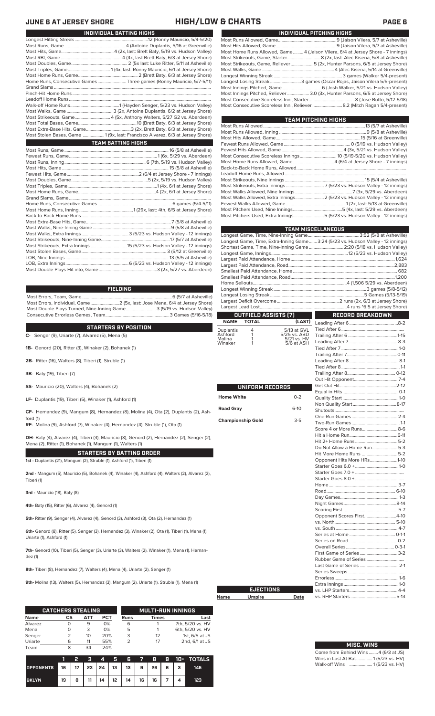### **HIGH/LOW & CHARTS PAGE 6**

| JUNE 6 AT JERSEY SHURE |
|------------------------|
|------------------------|

| INDIVIDUAL BATTING HIGHS                                                     |
|------------------------------------------------------------------------------|
|                                                                              |
|                                                                              |
|                                                                              |
|                                                                              |
|                                                                              |
|                                                                              |
|                                                                              |
| Home Runs, Consecutive Games Three games (Ronny Mauricio, 5/7-5/11)          |
|                                                                              |
|                                                                              |
|                                                                              |
|                                                                              |
|                                                                              |
|                                                                              |
|                                                                              |
|                                                                              |
| Most Stolen Bases, Game 1 (9x, last: Francisco Alvarez, 6/3 at Jersey Shore) |
| <b>TEAM BATTING HIGHS</b>                                                    |
|                                                                              |
|                                                                              |
|                                                                              |
|                                                                              |
|                                                                              |
|                                                                              |
|                                                                              |
|                                                                              |
|                                                                              |
|                                                                              |
|                                                                              |
|                                                                              |
|                                                                              |
|                                                                              |
|                                                                              |
|                                                                              |
|                                                                              |
|                                                                              |
|                                                                              |
|                                                                              |
|                                                                              |

### **FIELDING**

Most Errors, Team, Game...............................................................................6 (5/7 at Asheville) Most Errors, Individual, Game.........................2 (5x, last: Jose Mena, 6/4 at Jersey Shore) Most Double Plays Turned, Nine-Inning Game.......................... 3 (5/19 vs. Hudson Valley) Consecutive Errorless Games, Team.

### **STARTERS BY POSITION**

**C-** Senger (9), Uriarte (7), Alvarez (5), Mena (5)

**1B-** Genord (20), Ritter (3), Winaker (2), Bohanek (1)

**2B-** Ritter (16), Walters (8), Tiberi (1), Struble (1)

**3B-** Baty (19), Tiberi (7)

ford (1)

**SS-** Mauricio (20), Walters (4), Bohanek (2)

**LF-** Duplantis (19), Tiberi (5), Winaker (1), Ashford (1)

**CF-** Hernandez (9), Mangum (8), Hernandez (8), Molina (4), Ota (2), Duplantis (2), Ash-

**RF-** Molina (9), Ashford (7), Winaker (4), Hernandez (4), Struble (1), Ota (1)

**DH-** Baty (4), Alvarez (4), Tiberi (3), Mauricio (3), Genord (2), Hernandez (2), Senger (2), Mena (2), Ritter (1), Bohanek (1), Mangum (1), Walters (1)

**STARTERS BY BATTING ORDER 1st -** Duplantis (21), Mangum (2), Struble (1), Ashford (1), Tiberi (1)

**2nd -** Mangum (5), Mauricio (5), Bohanek (4), Winaker (4), Ashford (4), Walters (2), Alvarez (2), Tiberi (1)

**3rd -** Mauricio (18), Baty (8)

**4th-** Baty (15), Ritter (6), Alvarez (4), Genord (1)

**5th-** Ritter (9), Senger (4), Alvarez (4), Genord (3), Ashford (3), Ota (2), Hernandez (1)

**6th-** Genord (8), Ritter (5), Senger (3), Hernandez (3), Winaker (2), Ota (1), Tiberi (1), Mena (1), Uriarte (1), Ashford (1)

7th- Genord (10), Tiberi (5), Senger (3), Uriarte (3), Walters (2), Winaker (1), Mena (1), Hernandez (1)

**8th-** Tiberi (8), Hernandez (7), Walters (4), Mena (4), Uriarte (2), Senger (1)

**9th-** Molina (13), Walters (5), Hernandez (3), Mangum (2), Uriarte (1), Struble (1), Mena (1)

|             | <b>CATCHERS STEALING</b> |     |            |      | <b>MULTI-RUN INNINGS</b> |                  |  |  |
|-------------|--------------------------|-----|------------|------|--------------------------|------------------|--|--|
| <b>Name</b> | CS                       | ATT | <b>PCT</b> | Runs | <b>Times</b>             | Last             |  |  |
| Alvarez     |                          | 9   | 0%         | 6    |                          | 7th, 5/20 vs. HV |  |  |
| Mena        | O                        | 3   | 0%         | 5    |                          | 6th, 5/20 vs. HV |  |  |
| Senger      |                          | 10  | 20%        | 3    | 12                       | 1st, 6/5 at JS   |  |  |
| Uriarte     | 6                        | 11  | 55%        |      | 17                       | 2nd, 6/1 at JS   |  |  |
| Team        | 8                        | 34  | 24%        |      |                          |                  |  |  |

**Nam** 

|                                                        |    |   | - 2 | $\boldsymbol{A}$ | <b>ARTICLE</b> |                              |  |  | 6 7 8 9 10 + TOTALS |
|--------------------------------------------------------|----|---|-----|------------------|----------------|------------------------------|--|--|---------------------|
| OPPONENTS 16   17   23   24   13   13   9   26   6   3 |    |   |     |                  |                |                              |  |  | 145                 |
| <b>BKLYN</b>                                           | 19 | 8 | 11  |                  |                | $14$   12   14   16   16   7 |  |  | 123                 |

|                                                                                 | INDIVIDUAL PITCHING HIGHS |
|---------------------------------------------------------------------------------|---------------------------|
|                                                                                 |                           |
|                                                                                 |                           |
| Most Home Runs Allowed, Game 4 (Jaison Vilera, 6/4 at Jersey Shore - 7 innings) |                           |
| Most Strikeouts, Game, Starter 8 (2x, last: Alec Kisena, 5/8 at Asheville)      |                           |
| Most Strikeouts, Game, Reliever5 (2x, Hunter Parsons, 6/5 at Jersey Shore)      |                           |
|                                                                                 |                           |
|                                                                                 |                           |
| Longest Losing Streak3 games (Oscar Rojas, Jaison Vilera 5/5-present)           |                           |
|                                                                                 |                           |
| Most Innings Pitched, Reliever  3.0 (3x, Hunter Parsons, 6/5 at Jersey Shore)   |                           |
|                                                                                 |                           |
|                                                                                 |                           |

| TEAM PITCHING HIGHS |                                                                           |
|---------------------|---------------------------------------------------------------------------|
|                     |                                                                           |
|                     |                                                                           |
|                     |                                                                           |
|                     |                                                                           |
|                     |                                                                           |
|                     |                                                                           |
|                     | Most Home Runs Allowed, Game4 (6/4 at Jersey Shore - 7 innings)           |
|                     |                                                                           |
|                     |                                                                           |
|                     |                                                                           |
|                     |                                                                           |
|                     |                                                                           |
|                     | Most Walks Allowed, Extra Innings 2 (5/23 vs. Hudson Valley - 12 innings) |
|                     |                                                                           |
|                     |                                                                           |
|                     | Most Pitchers Used, Extra Innings 5 (5/23 vs. Hudson Valley - 12 innings) |

|                      |                          |                             | <b>TEAM MISCELLANEOUS</b>                                                        |  |
|----------------------|--------------------------|-----------------------------|----------------------------------------------------------------------------------|--|
|                      |                          |                             |                                                                                  |  |
|                      |                          |                             | Longest Game, Time, Extra-Inning Game 3:24 (5/23 vs. Hudson Valley - 12 innings) |  |
|                      |                          |                             | Shortest Game, Time, Nine-Inning Game  2:20 (5/18 vs. Hudson Valley)             |  |
|                      |                          |                             |                                                                                  |  |
|                      |                          |                             |                                                                                  |  |
|                      |                          |                             |                                                                                  |  |
|                      |                          |                             |                                                                                  |  |
|                      |                          |                             |                                                                                  |  |
|                      |                          |                             |                                                                                  |  |
|                      |                          |                             |                                                                                  |  |
|                      |                          |                             |                                                                                  |  |
|                      |                          |                             |                                                                                  |  |
|                      | OUTFIELD ASSISTS (7)     |                             | <b>RECORD BREAKDOWN</b>                                                          |  |
| <b>NAME</b>          | <b>TOTAL</b>             | (LAST)                      |                                                                                  |  |
|                      |                          |                             |                                                                                  |  |
| Duplantis<br>Ashford | 4<br>1                   | 5/13 at GVL<br>5/25 vs. ABD |                                                                                  |  |
| Molina               | 1                        | 5/21 vs. HV                 |                                                                                  |  |
| Winaker              | 1                        | 5/6 at ASH                  |                                                                                  |  |
|                      |                          |                             |                                                                                  |  |
|                      |                          |                             |                                                                                  |  |
|                      |                          |                             |                                                                                  |  |
|                      |                          |                             |                                                                                  |  |
|                      |                          |                             |                                                                                  |  |
|                      | UNIFORM RECORDS          |                             |                                                                                  |  |
|                      |                          |                             |                                                                                  |  |
| <b>Home White</b>    |                          | $0 - 2$                     |                                                                                  |  |
|                      |                          |                             |                                                                                  |  |
| <b>Road Gray</b>     |                          | $6-10$                      |                                                                                  |  |
|                      |                          |                             |                                                                                  |  |
|                      | <b>Championship Gold</b> | $3-5$                       |                                                                                  |  |
|                      |                          |                             |                                                                                  |  |
|                      |                          |                             |                                                                                  |  |
|                      |                          |                             |                                                                                  |  |
|                      |                          |                             | Do Not Allow a Home Run5-3                                                       |  |
|                      |                          |                             |                                                                                  |  |
|                      |                          |                             | Opponent Hits More HRs1-10                                                       |  |
|                      |                          |                             |                                                                                  |  |
|                      |                          |                             |                                                                                  |  |
|                      |                          |                             |                                                                                  |  |
|                      |                          |                             |                                                                                  |  |
|                      |                          |                             |                                                                                  |  |
|                      |                          |                             |                                                                                  |  |
|                      |                          |                             |                                                                                  |  |
|                      |                          |                             | Opponent Scores First4-10                                                        |  |
|                      |                          |                             |                                                                                  |  |
|                      |                          |                             |                                                                                  |  |
|                      |                          |                             |                                                                                  |  |
|                      |                          |                             |                                                                                  |  |
|                      |                          |                             |                                                                                  |  |
|                      |                          |                             |                                                                                  |  |
|                      |                          |                             |                                                                                  |  |
|                      |                          |                             |                                                                                  |  |
|                      |                          |                             |                                                                                  |  |
|                      |                          |                             |                                                                                  |  |
|                      |                          |                             |                                                                                  |  |
|                      | <b>EJECTIONS</b>         |                             |                                                                                  |  |
| Name                 | <b>Umpire</b>            | Date                        |                                                                                  |  |
|                      |                          |                             |                                                                                  |  |

| <b>MISC. WINS</b>                    |  |
|--------------------------------------|--|
| Come from Behind Wins  4 (6/3 at JS) |  |
| Wins in Last At-Bat 1(5/23 vs. HV)   |  |
| Walk-off Wins  1(5/23 vs. HV)        |  |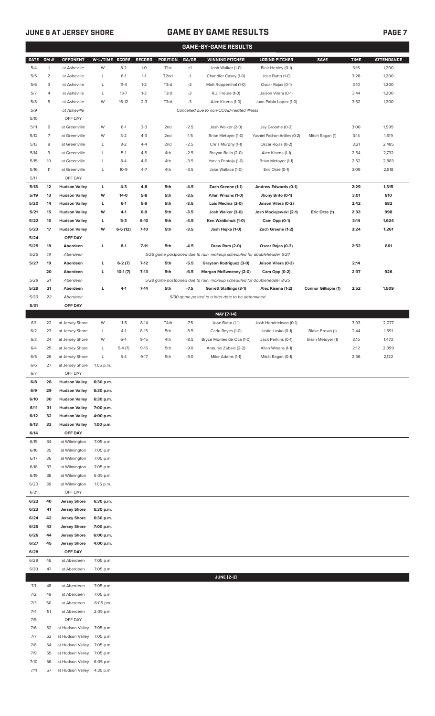# **JUNE 6 AT JERSEY SHORE GAME BY GAME RESULTS PAGE 7**

|              |                |                                    |                        |                     |                    |                   |                  | <b>GAME-BY-GAME RESULTS</b>                                             |                                          |                             |              |                   |
|--------------|----------------|------------------------------------|------------------------|---------------------|--------------------|-------------------|------------------|-------------------------------------------------------------------------|------------------------------------------|-----------------------------|--------------|-------------------|
| <b>DATE</b>  | GM#            | <b>OPPONENT</b>                    | W-L/TIME SCORE         |                     | <b>RECORD</b>      | POSITION          | GA/GB            | <b>WINNING PITCHER</b>                                                  | <b>LOSING PITCHER</b>                    | <b>SAVE</b>                 | <b>TIME</b>  | <b>ATTENDANCE</b> |
| 5/4          | $\mathbf{1}$   | at Asheville                       | W                      | $8 - 2$             | $1 - 0$            | T <sub>1st</sub>  | $+1$             | Josh Walker (1-0)                                                       | Blair Henley (0-1)                       |                             | 3:16         | 1,200             |
| 5/5          | $\overline{a}$ | at Asheville                       | L                      | $6-1$               | $1 - 1$            | T <sub>2</sub> nd | $-1$             | Chandler Casey (1-0)                                                    | Jose Butto (1-0)                         |                             | 3:26         | 1,200             |
| 5/6          | 3              | at Asheville                       | L                      | $11 - 4$            | $1 - 2$            | T3rd              | $-2$             | Matt Ruppenthal (1-0)                                                   | Oscar Rojas (0-1)                        |                             | 3:10         | 1,200             |
| 5/7          | 4              | at Asheville                       | L                      | $13 - 7$            | $1 - 3$            | T3rd              | -3               | R.J. Freure (1-0)                                                       | Jaison Vilera (0-1)                      |                             | 3:44         | 1,200             |
| 5/8          | 5              | at Asheville                       | W                      | $16-12$             | $2 - 3$            | T3rd              | $-3$             | Alec Kisena (1-0)                                                       | Juan Pablo Lopez (1-0)                   |                             | 3:52         | 1,200             |
| 5/9          |                | at Asheville                       |                        |                     |                    |                   |                  | Cancelled due to non-COVID-related illness                              |                                          |                             |              |                   |
| 5/10         |                | OFF DAY                            |                        |                     |                    |                   |                  |                                                                         |                                          |                             |              |                   |
| 5/11         | 6              | at Greenville                      | W                      | $6-1$               | $3-3$              | 2 <sub>nd</sub>   | $-2.5$           | Josh Walker (2-0)                                                       | Jay Groome (0-2)                         |                             | 3:00         | 1,995             |
| 5/12         | 7              | at Greenville                      | W                      | $3-2$               | $4 - 3$            | 2 <sub>nd</sub>   | $-1.5$           | Brian Metoyer (1-0)                                                     | Yusniel Padron-Artilles (0-2)            | Mitch Ragan (1)             | 3:14         | 1,819             |
| 5/13         | 8              | at Greenville                      | L                      | $8 - 2$             | $4 - 4$            | 2 <sub>nd</sub>   | $-2.5$           | Chris Murphy (1-1)                                                      | Oscar Rojas (0-2)                        |                             | 3:21         | 2,485             |
| 5/14         | 9              | at Greenville                      | L                      | $5-1$               | $4 - 5$            | 4th               | $-2.5$           | Brayan Bello (2-0)                                                      | Alec Kisena (1-1)                        |                             | 2:54         | 2,732             |
| 5/15         | 10             | at Greenville                      | L                      | $8 - 4$<br>$10-9$   | $4-6$<br>$4 - 7$   | 4th               | $-3.5$<br>$-3.5$ | Yorvin Pantoja (1-0)                                                    | Brian Metoyer (1-1)                      |                             | 2:52         | 2,883             |
| 5/16<br>5/17 | 11             | at Greenville<br>OFF DAY           | L                      |                     |                    | 4th               |                  | Jake Wallace (1-0)                                                      | Eric Orze (0-1)                          |                             | 3:09         | 2,818             |
| 5/18         | 12             | <b>Hudson Valley</b>               | L                      | $4-3$               | $4 - 8$            | 5th               | $-4.5$           | Zach Greene (1-1)                                                       | <b>Andrew Edwards (0-1)</b>              |                             | 2:29         | 1,315             |
| 5/19         | 13             | <b>Hudson Valley</b>               | w                      | 14-0                | $5-8$              | 5th               | $-3.5$           | Allan Winans (1-0)                                                      | Jhony Brito (0-1)                        |                             | 3:01         | 810               |
| 5/20         | 14             | <b>Hudson Valley</b>               | L                      | $6-1$               | $5-9$              | 5th               | $-3.5$           | Luis Medina (2-0)                                                       | Jaison Vilera (0-2)                      |                             | 2:42         | 682               |
| 5/21         | 15             | <b>Hudson Valley</b>               | w                      | $4-1$               | $6-9$              | 5th               | $-3.5$           | Josh Walker (3-0)                                                       | Josh Maciejewski (2-1)                   | Eric Orze (1)               | 2:33         | 998               |
| 5/22         | 16             | <b>Hudson Valley</b>               | г                      | $5-3$               | 6-10               | 5th               | $-4.5$           | Ken Waldichuk (1-0)                                                     | Cam Opp (0-1)                            |                             | 3:14         | 1,624             |
| 5/23         | 17             | <b>Hudson Valley</b>               | w                      | $6-5(12)$           | $7-10$             | 5th               | $-3.5$           | Josh Hejka (1-0)                                                        | Zach Greene (1-2)                        |                             | 3:24         | 1,261             |
| 5/24         |                | OFF DAY                            |                        |                     |                    |                   |                  |                                                                         |                                          |                             |              |                   |
| 5/25         | 18             | Aberdeen                           | L                      | $8-1$               | $7 - 11$           | 5th               | $-4.5$           | Drew Rom (2-0)                                                          | Oscar Rojas (0-3)                        |                             | 2:52         | 861               |
| 5/26         | 19             | Aberdeen                           |                        |                     |                    |                   |                  | 5/26 game postponed due to rain, makeup scheduled for doubleheader 5/27 |                                          |                             |              |                   |
| 5/27         | 19             | Aberdeen                           | г                      | $6-2(7)$            | $7-12$             | 5th               | $-5.5$           | Grayson Rodriguez (3-0)                                                 | Jaison Vilera (0-3)                      |                             | 2:14         |                   |
|              | 20             | Aberdeen                           | L                      | $10-1(7)$           | $7-13$             | 5th               | $-6.5$           | Morgan McSweeney (2-0)                                                  | Cam Opp (0-2)                            |                             | 2:37         | 926               |
| 5/28         | 21             | Aberdeen                           |                        |                     |                    |                   |                  | 5/28 game postponed due to rain, makeup scheduled for doubleheader 8/25 |                                          |                             |              |                   |
| 5/29         | 21             | Aberdeen                           | L                      | $4-1$               | $7-14$             | 5th               | $-7.5$           | <b>Garrett Stallings (3-1)</b>                                          | Alec Kisena (1-2)                        | <b>Connor Gillispie (1)</b> | 2:52         | 1,509             |
| 5/30         | 22             | Aberdeen                           |                        |                     |                    |                   |                  | 5/30 game posted to a later date to be determined                       |                                          |                             |              |                   |
| 5/31         |                | OFF DAY                            |                        |                     |                    |                   |                  |                                                                         |                                          |                             |              |                   |
|              |                |                                    |                        |                     |                    |                   |                  | MAY [7-14]                                                              |                                          |                             |              |                   |
| 6/1          | 22             | at Jersey Shore                    | W                      | $11-5$              | $8-14$             | T4th              | $-7.5$           | Jose Butto (1-1)                                                        | Josh Hendrickson (0-1)                   |                             | 3:03         | 2,077             |
| 6/2<br>6/3   | 23             | at Jersey Shore                    | L<br>W                 | $4-1$               | $8-15$<br>$9 - 15$ | 5th               | $-8.5$           | Carlo Reyes (1-0)<br>Bryce Montes de Oca (1-0)                          | Justin Lasko (0-1)                       | Blake Brown (1)             | 2:44         | 1,591             |
| 6/4          | 24<br>25       | at Jersey Shore<br>at Jersey Shore | L                      | $6 - 4$<br>$5-4(7)$ | $9-16$             | 4th<br>5th        | $-8.5$<br>$-9.0$ | Aneurys Zabala (2-2)                                                    | Jack Perkins (0-1)<br>Allan Winans (1-1) | Brian Metoyer (1)           | 3:15<br>2:12 | 1,473<br>2,399    |
| 6/5          | 26             | at Jersey Shore                    | L                      | $5 - 4$             | $9-17$             | 5th               | $-9.0$           | Mike Adams (1-1)                                                        | Mitch Ragan (0-1)                        |                             | 2:36         | 2,122             |
| 6/6          | 27             | at Jersey Shore                    | 1:05 p.m.              |                     |                    |                   |                  |                                                                         |                                          |                             |              |                   |
| 6/7          |                | OFF DAY                            |                        |                     |                    |                   |                  |                                                                         |                                          |                             |              |                   |
| 6/8          | 28             | <b>Hudson Valley</b>               | 6:30 p.m.              |                     |                    |                   |                  |                                                                         |                                          |                             |              |                   |
| 6/9          | 29             | <b>Hudson Valley</b>               | 6:30 p.m.              |                     |                    |                   |                  |                                                                         |                                          |                             |              |                   |
| 6/10         | 30             | <b>Hudson Valley</b>               | 6:30 p.m.              |                     |                    |                   |                  |                                                                         |                                          |                             |              |                   |
| 6/11         | 31             | <b>Hudson Valley</b>               | 7:00 p.m.              |                     |                    |                   |                  |                                                                         |                                          |                             |              |                   |
| 6/12         | 32             | <b>Hudson Valley</b>               | 4:00 p.m.              |                     |                    |                   |                  |                                                                         |                                          |                             |              |                   |
| 6/13         | 33             | <b>Hudson Valley</b>               | 1:00 p.m.              |                     |                    |                   |                  |                                                                         |                                          |                             |              |                   |
| 6/14         |                | OFF DAY                            |                        |                     |                    |                   |                  |                                                                         |                                          |                             |              |                   |
| 6/15         | 34             | at Wilmington                      | 7:05 p.m.              |                     |                    |                   |                  |                                                                         |                                          |                             |              |                   |
| 6/16         | 35             | at Wilmington                      | 7:05 p.m.              |                     |                    |                   |                  |                                                                         |                                          |                             |              |                   |
| 6/17         | 36             | at Wilmington                      | 7:05 p.m.              |                     |                    |                   |                  |                                                                         |                                          |                             |              |                   |
| 6/18<br>6/19 | 37<br>38       | at Wilmington<br>at Wilmington     | 7:05 p.m.<br>6:05 p.m. |                     |                    |                   |                  |                                                                         |                                          |                             |              |                   |
| 6/20         | 39             | at Wilmington                      | 1:05 p.m.              |                     |                    |                   |                  |                                                                         |                                          |                             |              |                   |
| 6/21         |                | OFF DAY                            |                        |                     |                    |                   |                  |                                                                         |                                          |                             |              |                   |
| 6/22         | 40             | <b>Jersey Shore</b>                | 6:30 p.m.              |                     |                    |                   |                  |                                                                         |                                          |                             |              |                   |
| 6/23         | 41             | <b>Jersey Shore</b>                | 6:30 p.m.              |                     |                    |                   |                  |                                                                         |                                          |                             |              |                   |
| 6/24         | 42             | <b>Jersey Shore</b>                | 6:30 p.m.              |                     |                    |                   |                  |                                                                         |                                          |                             |              |                   |
| 6/25         | 43             | <b>Jersey Shore</b>                | 7:00 p.m.              |                     |                    |                   |                  |                                                                         |                                          |                             |              |                   |
| 6/26         | 44             | <b>Jersey Shore</b>                | 6:00 p.m.              |                     |                    |                   |                  |                                                                         |                                          |                             |              |                   |
| 6/27         | 45             | <b>Jersey Shore</b>                | 4:00 p.m.              |                     |                    |                   |                  |                                                                         |                                          |                             |              |                   |
| 6/28         |                | OFF DAY                            |                        |                     |                    |                   |                  |                                                                         |                                          |                             |              |                   |
| 6/29         | 46             | at Aberdeen                        | 7:05 p.m.              |                     |                    |                   |                  |                                                                         |                                          |                             |              |                   |
| 6/30         | 47             | at Aberdeen                        | 7:05 p.m.              |                     |                    |                   |                  |                                                                         |                                          |                             |              |                   |
|              |                |                                    |                        |                     |                    |                   |                  | <b>JUNE [2-3]</b>                                                       |                                          |                             |              |                   |
| 7/1          | 48             | at Aberdeen                        | 7:05 p.m.              |                     |                    |                   |                  |                                                                         |                                          |                             |              |                   |
| 7/2          | 49             | at Aberdeen                        | 7:05 p.m.              |                     |                    |                   |                  |                                                                         |                                          |                             |              |                   |
| 7/3          | 50             | at Aberdeen                        | 6:05 pm.               |                     |                    |                   |                  |                                                                         |                                          |                             |              |                   |
| 7/4          | 51             | at Aberdeen                        | 2:05 p.m.              |                     |                    |                   |                  |                                                                         |                                          |                             |              |                   |
| 7/5<br>7/6   | 52             | OFF DAY<br>at Hudson Valley        | 7:05 p.m.              |                     |                    |                   |                  |                                                                         |                                          |                             |              |                   |
| 7/7          | 53             | at Hudson Valley                   | 7:05 p.m.              |                     |                    |                   |                  |                                                                         |                                          |                             |              |                   |
| 7/8          | 54             | at Hudson Valley 7:05 p.m.         |                        |                     |                    |                   |                  |                                                                         |                                          |                             |              |                   |
|              |                |                                    |                        |                     |                    |                   |                  |                                                                         |                                          |                             |              |                   |

7/9 55 at Hudson Valley 7:05 p.m.

7/10 56 at Hudson Valley 6:05 p.m.

7/11 57 at Hudson Valley 4:35 p.m.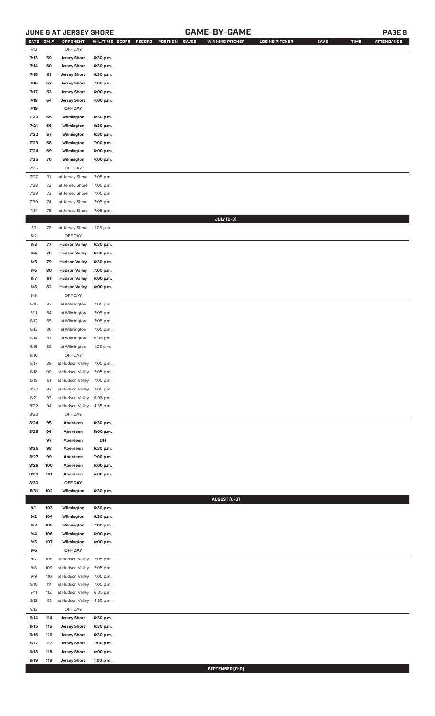# **JUNE 6 AT JERSEY SHORE GAME-BY-GAME PAGE 8**

| <b>DATE</b> | GM# | OPPONENT                   |           | W-L/TIME SCORE RECORD<br>POSITION<br>GA/GB | <b>WINNING PITCHER</b> | <b>LOSING PITCHER</b> | <b>SAVE</b> | <b>TIME</b> | <b>ATTENDANCE</b> |
|-------------|-----|----------------------------|-----------|--------------------------------------------|------------------------|-----------------------|-------------|-------------|-------------------|
| 7/12        |     | OFF DAY                    |           |                                            |                        |                       |             |             |                   |
| 7/13        | 59  | <b>Jersey Shore</b>        | 6:30 p.m. |                                            |                        |                       |             |             |                   |
| 7/14        | 60  | <b>Jersey Shore</b>        | 6:30 p.m. |                                            |                        |                       |             |             |                   |
| 7/15        | 61  | <b>Jersey Shore</b>        | 6:30 p.m. |                                            |                        |                       |             |             |                   |
| 7/16        | 62  | <b>Jersey Shore</b>        | 7:00 p.m. |                                            |                        |                       |             |             |                   |
|             |     |                            |           |                                            |                        |                       |             |             |                   |
| 7/17        | 63  | <b>Jersey Shore</b>        | 6:00 p.m. |                                            |                        |                       |             |             |                   |
| 7/18        | 64  | <b>Jersey Shore</b>        | 4:00 p.m. |                                            |                        |                       |             |             |                   |
| 7/19        |     | OFF DAY                    |           |                                            |                        |                       |             |             |                   |
| 7/20        | 65  | Wilmington                 | 6:30 p.m. |                                            |                        |                       |             |             |                   |
| 7/21        | 66  | Wilmington                 | 6:30 p.m. |                                            |                        |                       |             |             |                   |
| 7/22        | 67  | Wilmington                 | 6:30 p.m. |                                            |                        |                       |             |             |                   |
| 7/23        | 68  | Wilmington                 | 7:00 p.m. |                                            |                        |                       |             |             |                   |
| 7/24        | 69  | Wilmington                 | 6:00 p.m. |                                            |                        |                       |             |             |                   |
|             |     |                            |           |                                            |                        |                       |             |             |                   |
| 7/25        | 70  | Wilmington                 | 4:00 p.m. |                                            |                        |                       |             |             |                   |
| 7/26        |     | OFF DAY                    |           |                                            |                        |                       |             |             |                   |
| 7/27        | 71  | at Jersey Shore            | 7:05 p.m. |                                            |                        |                       |             |             |                   |
| $7/28$      | 72  | at Jersey Shore            | 7:05 p.m. |                                            |                        |                       |             |             |                   |
| 7/29        | 73  | at Jersey Shore            | 7:05 p.m. |                                            |                        |                       |             |             |                   |
| 7/30        | 74  | at Jersey Shore            | 7:05 p.m. |                                            |                        |                       |             |             |                   |
| 7/31        | 75  | at Jersey Shore            | 7:05 p.m. |                                            |                        |                       |             |             |                   |
|             |     |                            |           |                                            |                        |                       |             |             |                   |
|             |     |                            |           |                                            | JULY (0-0)             |                       |             |             |                   |
| 8/1         | 76  | at Jersey Shore            | 1:05 p.m. |                                            |                        |                       |             |             |                   |
| 8/2         |     | OFF DAY                    |           |                                            |                        |                       |             |             |                   |
| 8/3         | 77  | <b>Hudson Valley</b>       | 6:30 p.m. |                                            |                        |                       |             |             |                   |
| 8/4         | 78  | <b>Hudson Valley</b>       | 6:30 p.m. |                                            |                        |                       |             |             |                   |
| 8/5         | 79  | <b>Hudson Valley</b>       | 6:30 p.m. |                                            |                        |                       |             |             |                   |
| 8/6         | 80  | <b>Hudson Valley</b>       | 7:00 p.m. |                                            |                        |                       |             |             |                   |
| 8/7         | 81  | <b>Hudson Valley</b>       | 6:00 p.m. |                                            |                        |                       |             |             |                   |
|             |     |                            |           |                                            |                        |                       |             |             |                   |
| 8/8         | 82  | <b>Hudson Valley</b>       | 4:00 p.m. |                                            |                        |                       |             |             |                   |
| 8/9         |     | OFF DAY                    |           |                                            |                        |                       |             |             |                   |
| 8/10        | 83  | at Wilmington              | 7:05 p.m. |                                            |                        |                       |             |             |                   |
| 8/11        | 84  | at Wilmington              | 7:05 p.m. |                                            |                        |                       |             |             |                   |
| 8/12        | 85  | at Wilmington              | 7:05 p.m. |                                            |                        |                       |             |             |                   |
| 8/13        | 86  | at Wilmington              | 7:05 p.m. |                                            |                        |                       |             |             |                   |
| 8/14        | 87  | at Wilmington              | 6:05 p.m. |                                            |                        |                       |             |             |                   |
| 8/15        | 88  | at Wilmington              | 1:05 p.m. |                                            |                        |                       |             |             |                   |
|             |     |                            |           |                                            |                        |                       |             |             |                   |
| 8/16        |     | OFF DAY                    |           |                                            |                        |                       |             |             |                   |
| 8/17        | 89  | at Hudson Valley 7:05 p.m. |           |                                            |                        |                       |             |             |                   |
| 8/18        | 90  | at Hudson Valley           | 7:05 p.m. |                                            |                        |                       |             |             |                   |
| 8/19        | 91  | at Hudson Valley           | 7:05 p.m. |                                            |                        |                       |             |             |                   |
| 8/20        | 92  | at Hudson Valley           | 7:05 p.m. |                                            |                        |                       |             |             |                   |
| 8/21        | 93  | at Hudson Valley           | 6:05 p.m. |                                            |                        |                       |             |             |                   |
| 8/22        | 94  | at Hudson Valley           | 4:35 p.m. |                                            |                        |                       |             |             |                   |
| 8/23        |     | OFF DAY                    |           |                                            |                        |                       |             |             |                   |
|             |     |                            |           |                                            |                        |                       |             |             |                   |
| 8/24        | 95  | Aberdeen                   | 6:30 p.m. |                                            |                        |                       |             |             |                   |
| 8/25        | 96  | Aberdeen                   | 5:00 p.m. |                                            |                        |                       |             |             |                   |
|             | 97  | Aberdeen                   | DH        |                                            |                        |                       |             |             |                   |
| 8/26        | 98  | Aberdeen                   | 6:30 p.m. |                                            |                        |                       |             |             |                   |
| 8/27        | 99  | Aberdeen                   | 7:00 p.m. |                                            |                        |                       |             |             |                   |
| 8/28        | 100 | Aberdeen                   | 6:00 p.m. |                                            |                        |                       |             |             |                   |
| 8/29        | 101 | Aberdeen                   | 4:00 p.m. |                                            |                        |                       |             |             |                   |
| 8/30        |     | OFF DAY                    |           |                                            |                        |                       |             |             |                   |
|             | 102 |                            |           |                                            |                        |                       |             |             |                   |
| 8/31        |     | Wilmington                 | 6:30 p.m. |                                            |                        |                       |             |             |                   |
|             |     |                            |           |                                            | AUGUST (0-0)           |                       |             |             |                   |
| 9/1         | 103 | Wilmington                 | 6:30 p.m. |                                            |                        |                       |             |             |                   |
| 9/2         | 104 | Wilmington                 | 6:30 p.m. |                                            |                        |                       |             |             |                   |
| 9/3         | 105 | Wilmington                 | 7:00 p.m. |                                            |                        |                       |             |             |                   |
| 9/4         | 106 | Wilmington                 | 6:00 p.m. |                                            |                        |                       |             |             |                   |
| 9/5         | 107 | Wilmington                 | 4:00 p.m. |                                            |                        |                       |             |             |                   |
| 9/6         |     | OFF DAY                    |           |                                            |                        |                       |             |             |                   |
| 9/7         | 108 | at Hudson Valley           | 7:05 p.m. |                                            |                        |                       |             |             |                   |
|             |     |                            |           |                                            |                        |                       |             |             |                   |
| 9/8         | 109 | at Hudson Valley           | 7:05 p.m. |                                            |                        |                       |             |             |                   |
| 9/9         | 110 | at Hudson Valley           | 7:05 p.m. |                                            |                        |                       |             |             |                   |
| 9/10        | 111 | at Hudson Valley           | 7:05 p.m. |                                            |                        |                       |             |             |                   |
| 9/11        | 112 | at Hudson Valley           | 6:05 p.m. |                                            |                        |                       |             |             |                   |
| 9/12        | 113 | at Hudson Valley           | 4:35 p.m. |                                            |                        |                       |             |             |                   |
| 9/13        |     | OFF DAY                    |           |                                            |                        |                       |             |             |                   |
| 9/14        | 114 | <b>Jersey Shore</b>        | 6:30 p.m. |                                            |                        |                       |             |             |                   |
|             |     |                            |           |                                            |                        |                       |             |             |                   |
| 9/15        | 115 | <b>Jersey Shore</b>        | 6:30 p.m. |                                            |                        |                       |             |             |                   |
| 9/16        | 116 | <b>Jersey Shore</b>        | 6:30 p.m. |                                            |                        |                       |             |             |                   |
| 9/17        | 117 | <b>Jersey Shore</b>        | 7:00 p.m. |                                            |                        |                       |             |             |                   |
| 9/18        | 118 | <b>Jersey Shore</b>        | 4:00 p.m. |                                            |                        |                       |             |             |                   |
| 9/19        | 119 | <b>Jersey Shore</b>        | 1:00 p.m. |                                            |                        |                       |             |             |                   |

**SEPTEMBER (0-0)**